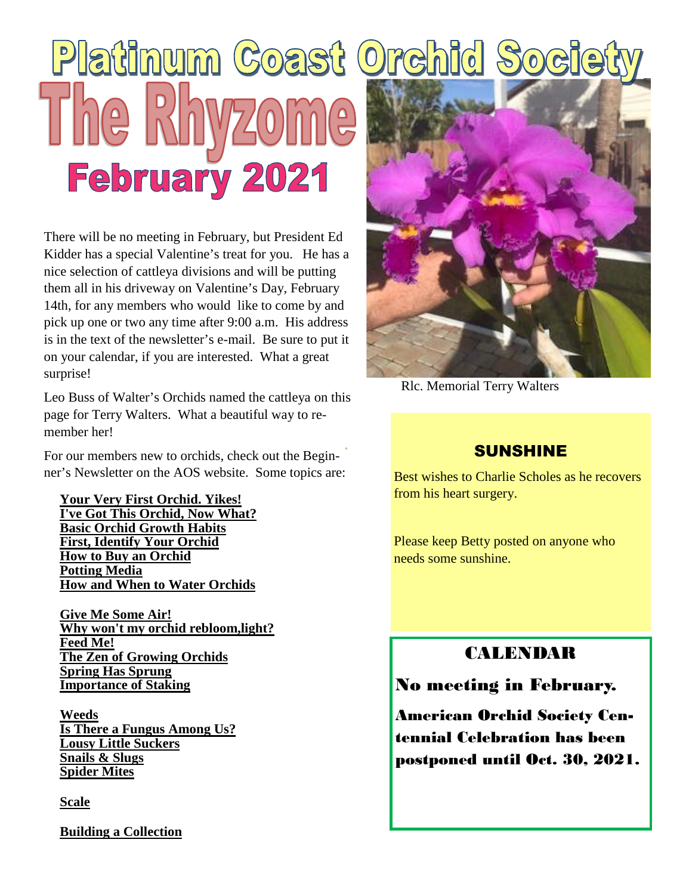# Platinum Coast Orchid So **February 2021**

There will be no meeting in February, but President Ed Kidder has a special Valentine's treat for you. He has a nice selection of cattleya divisions and will be putting them all in his driveway on Valentine's Day, February 14th, for any members who would like to come by and pick up one or two any time after 9:00 a.m. His address is in the text of the newsletter's e-mail. Be sure to put it on your calendar, if you are interested. What a great surprise!

Leo Buss of Walter's Orchids named the cattleya on this page for Terry Walters. What a beautiful way to remember her!

For our members new to orchids, check out the Beginner's Newsletter on the AOS website. Some topics are:

**Your Very First Orchid. Yikes! I've Got This Orchid, Now What? Basic Orchid Growth Habits First, Identify Your Orchid How to Buy an Orchid Potting Media How and When to Water Orchids**

**Give Me Some Air! Why won't my orchid rebloom,light? Feed Me! The Zen of Growing Orchids Spring Has Sprung Importance of Staking**

**Weeds Is There a Fungus Among Us? Lousy Little Suckers Snails & Slugs Spider Mites**

**Scale**

**Building a Collection**



Rlc. Memorial Terry Walters

### SUNSHINE

Best wishes to Charlie Scholes as he recovers from his heart surgery.

Please keep Betty posted on anyone who needs some sunshine.

### CALENDAR

No meeting in February.

American Orchid Society Centennial Celebration has been postponed until Oct. 30, 2021.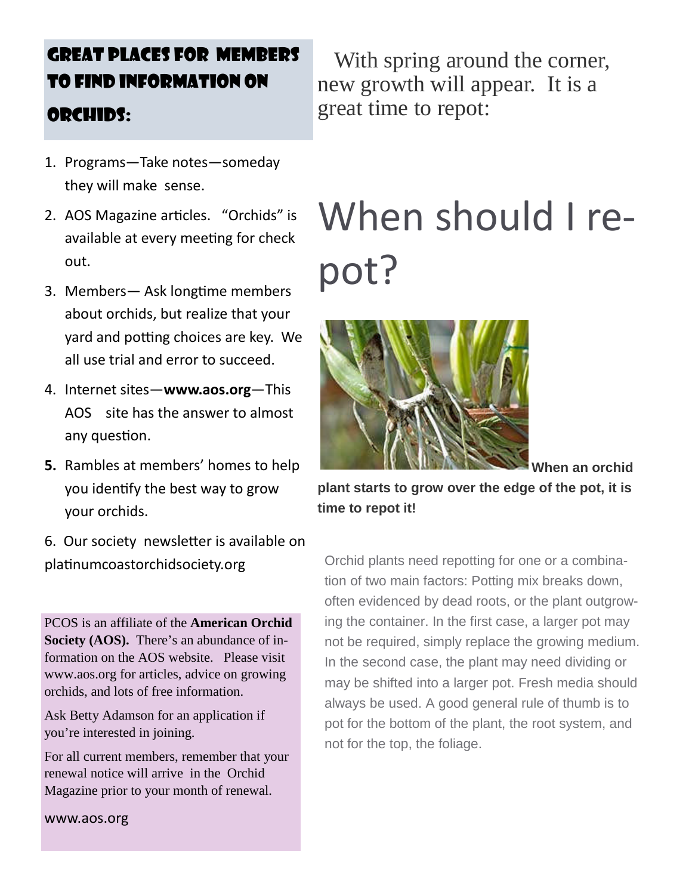### GREAT PLACES FOR MEMBERS TO FIND INFORMATION ON ORCHIDS:

- 1. Programs—Take notes—someday they will make sense.
- 2. AOS Magazine articles. "Orchids" is available at every meeting for check out.
- 3. Members— Ask longtime members about orchids, but realize that your yard and potting choices are key. We all use trial and error to succeed.
- 4. Internet sites—**www.aos.org**—This AOS site has the answer to almost any question.
- **5.** Rambles at members' homes to help you identify the best way to grow your orchids.
- 6. Our society newsletter is available on platinum coastor chidsociety.org

PCOS is an affiliate of the **American Orchid Society (AOS).** There's an abundance of information on the AOS website. Please visit www.aos.org for articles, advice on growing orchids, and lots of free information.

Ask Betty Adamson for an application if you're interested in joining.

For all current members, remember that your renewal notice will arrive in the Orchid Magazine prior to your month of renewal.

www.aos.org

With spring around the corner, new growth will appear. It is a great time to repot:

## When should I repot?



**When an orchid**

**plant starts to grow over the edge of the pot, it is time to repot it!**

Orchid plants need repotting for one or a combination of two main factors: Potting mix breaks down, often evidenced by dead roots, or the plant outgrowing the container. In the first case, a larger pot may not be required, simply replace the growing medium. In the second case, the plant may need dividing or may be shifted into a larger pot. Fresh media should always be used. A good general rule of thumb is to pot for the bottom of the plant, the root system, and not for the top, the foliage.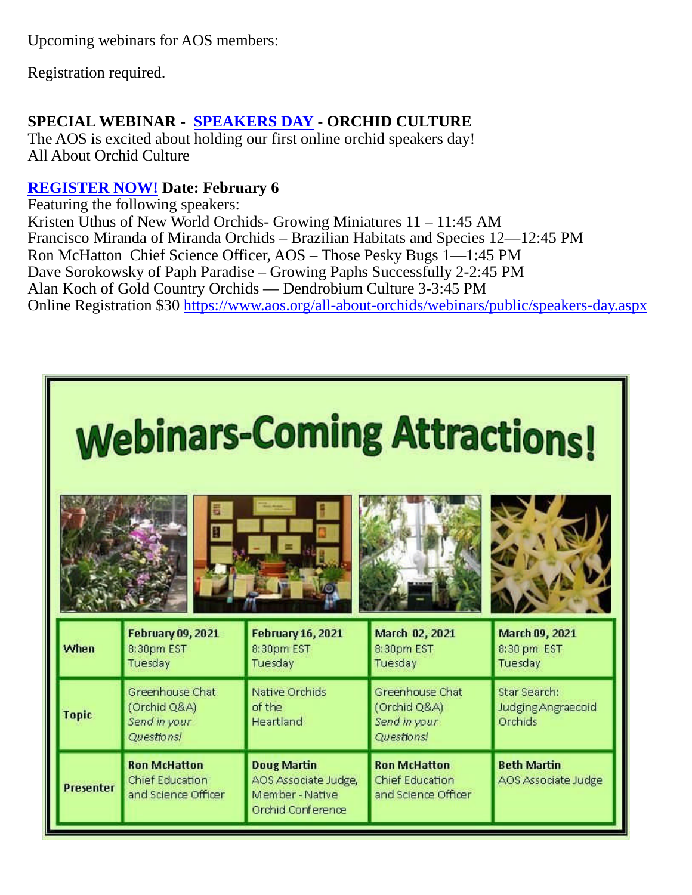Upcoming webinars for AOS members:

Registration required.

### **SPECIAL WEBINAR - SPEAKERS DAY - ORCHID CULTURE**

The AOS is excited about holding our first online orchid speakers day! All About Orchid Culture

### **REGISTER NOW! Date: February 6**

Featuring the following speakers: Kristen Uthus of New World Orchids- Growing Miniatures 11 – 11:45 AM Francisco Miranda of Miranda Orchids – Brazilian Habitats and Species 12—12:45 PM Ron McHatton Chief Science Officer, AOS – Those Pesky Bugs 1—1:45 PM Dave Sorokowsky of Paph Paradise – Growing Paphs Successfully 2-2:45 PM Alan Koch of Gold Country Orchids — Dendrobium Culture 3-3:45 PM Online Registration \$30 https://www.aos.org/all-about-orchids/webinars/public/speakers-day.aspx